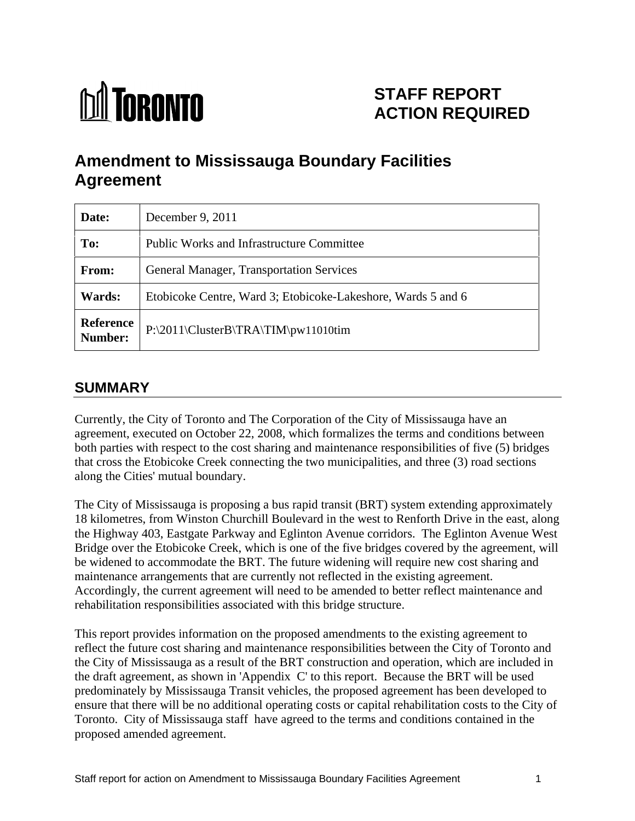# **M** TORONTO

# **STAFF REPORT ACTION REQUIRED**

# **Amendment to Mississauga Boundary Facilities Agreement**

| Date:  | December 9, 2011                                             |
|--------|--------------------------------------------------------------|
| To:    | <b>Public Works and Infrastructure Committee</b>             |
| From:  | General Manager, Transportation Services                     |
| Wards: | Etobicoke Centre, Ward 3; Etobicoke-Lakeshore, Wards 5 and 6 |
|        | Reference<br>P:\2011\ClusterB\TRA\TIM\pw11010tim             |

## **SUMMARY**

Currently, the City of Toronto and The Corporation of the City of Mississauga have an agreement, executed on October 22, 2008, which formalizes the terms and conditions between both parties with respect to the cost sharing and maintenance responsibilities of five (5) bridges that cross the Etobicoke Creek connecting the two municipalities, and three (3) road sections along the Cities' mutual boundary.

The City of Mississauga is proposing a bus rapid transit (BRT) system extending approximately 18 kilometres, from Winston Churchill Boulevard in the west to Renforth Drive in the east, along the Highway 403, Eastgate Parkway and Eglinton Avenue corridors. The Eglinton Avenue West Bridge over the Etobicoke Creek, which is one of the five bridges covered by the agreement, will be widened to accommodate the BRT. The future widening will require new cost sharing and maintenance arrangements that are currently not reflected in the existing agreement. Accordingly, the current agreement will need to be amended to better reflect maintenance and rehabilitation responsibilities associated with this bridge structure.

This report provides information on the proposed amendments to the existing agreement to reflect the future cost sharing and maintenance responsibilities between the City of Toronto and the City of Mississauga as a result of the BRT construction and operation, which are included in the draft agreement, as shown in 'Appendix C' to this report. Because the BRT will be used predominately by Mississauga Transit vehicles, the proposed agreement has been developed to ensure that there will be no additional operating costs or capital rehabilitation costs to the City of Toronto. City of Mississauga staff have agreed to the terms and conditions contained in the proposed amended agreement.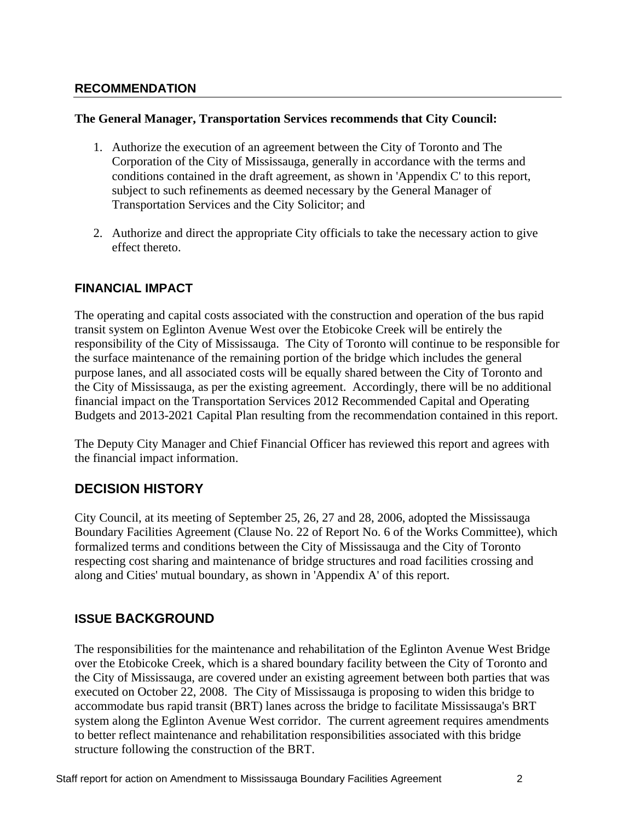#### **RECOMMENDATION**

#### **The General Manager, Transportation Services recommends that City Council:**

- 1. Authorize the execution of an agreement between the City of Toronto and The Corporation of the City of Mississauga, generally in accordance with the terms and conditions contained in the draft agreement, as shown in 'Appendix C' to this report, subject to such refinements as deemed necessary by the General Manager of Transportation Services and the City Solicitor; and
- 2. Authorize and direct the appropriate City officials to take the necessary action to give effect thereto.

#### **FINANCIAL IMPACT**

The operating and capital costs associated with the construction and operation of the bus rapid transit system on Eglinton Avenue West over the Etobicoke Creek will be entirely the responsibility of the City of Mississauga. The City of Toronto will continue to be responsible for the surface maintenance of the remaining portion of the bridge which includes the general purpose lanes, and all associated costs will be equally shared between the City of Toronto and the City of Mississauga, as per the existing agreement. Accordingly, there will be no additional financial impact on the Transportation Services 2012 Recommended Capital and Operating Budgets and 2013-2021 Capital Plan resulting from the recommendation contained in this report.

The Deputy City Manager and Chief Financial Officer has reviewed this report and agrees with the financial impact information.

#### **DECISION HISTORY**

City Council, at its meeting of September 25, 26, 27 and 28, 2006, adopted the Mississauga Boundary Facilities Agreement (Clause No. 22 of Report No. 6 of the Works Committee), which formalized terms and conditions between the City of Mississauga and the City of Toronto respecting cost sharing and maintenance of bridge structures and road facilities crossing and along and Cities' mutual boundary, as shown in 'Appendix A' of this report.

#### **ISSUE BACKGROUND**

The responsibilities for the maintenance and rehabilitation of the Eglinton Avenue West Bridge over the Etobicoke Creek, which is a shared boundary facility between the City of Toronto and the City of Mississauga, are covered under an existing agreement between both parties that was executed on October 22, 2008. The City of Mississauga is proposing to widen this bridge to accommodate bus rapid transit (BRT) lanes across the bridge to facilitate Mississauga's BRT system along the Eglinton Avenue West corridor. The current agreement requires amendments to better reflect maintenance and rehabilitation responsibilities associated with this bridge structure following the construction of the BRT.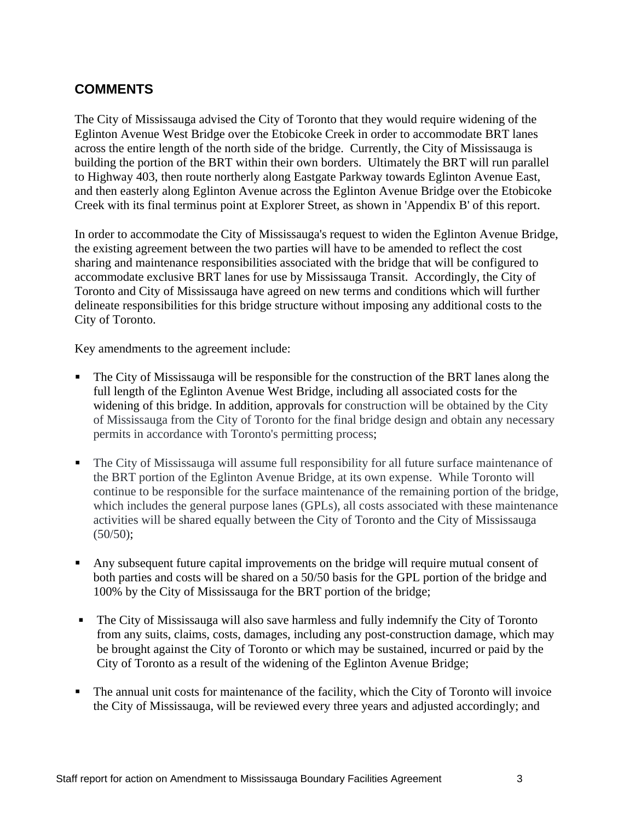### **COMMENTS**

The City of Mississauga advised the City of Toronto that they would require widening of the Eglinton Avenue West Bridge over the Etobicoke Creek in order to accommodate BRT lanes across the entire length of the north side of the bridge. Currently, the City of Mississauga is building the portion of the BRT within their own borders. Ultimately the BRT will run parallel to Highway 403, then route northerly along Eastgate Parkway towards Eglinton Avenue East, and then easterly along Eglinton Avenue across the Eglinton Avenue Bridge over the Etobicoke Creek with its final terminus point at Explorer Street, as shown in 'Appendix B' of this report.

In order to accommodate the City of Mississauga's request to widen the Eglinton Avenue Bridge, the existing agreement between the two parties will have to be amended to reflect the cost sharing and maintenance responsibilities associated with the bridge that will be configured to accommodate exclusive BRT lanes for use by Mississauga Transit. Accordingly, the City of Toronto and City of Mississauga have agreed on new terms and conditions which will further delineate responsibilities for this bridge structure without imposing any additional costs to the City of Toronto.

Key amendments to the agreement include:

- The City of Mississauga will be responsible for the construction of the BRT lanes along the full length of the Eglinton Avenue West Bridge, including all associated costs for the widening of this bridge. In addition, approvals for construction will be obtained by the City of Mississauga from the City of Toronto for the final bridge design and obtain any necessary permits in accordance with Toronto's permitting process;
- The City of Mississauga will assume full responsibility for all future surface maintenance of the BRT portion of the Eglinton Avenue Bridge, at its own expense. While Toronto will continue to be responsible for the surface maintenance of the remaining portion of the bridge, which includes the general purpose lanes (GPLs), all costs associated with these maintenance activities will be shared equally between the City of Toronto and the City of Mississauga  $(50/50);$
- Any subsequent future capital improvements on the bridge will require mutual consent of both parties and costs will be shared on a 50/50 basis for the GPL portion of the bridge and 100% by the City of Mississauga for the BRT portion of the bridge;
- The City of Mississauga will also save harmless and fully indemnify the City of Toronto from any suits, claims, costs, damages, including any post-construction damage, which may be brought against the City of Toronto or which may be sustained, incurred or paid by the City of Toronto as a result of the widening of the Eglinton Avenue Bridge;
- The annual unit costs for maintenance of the facility, which the City of Toronto will invoice the City of Mississauga, will be reviewed every three years and adjusted accordingly; and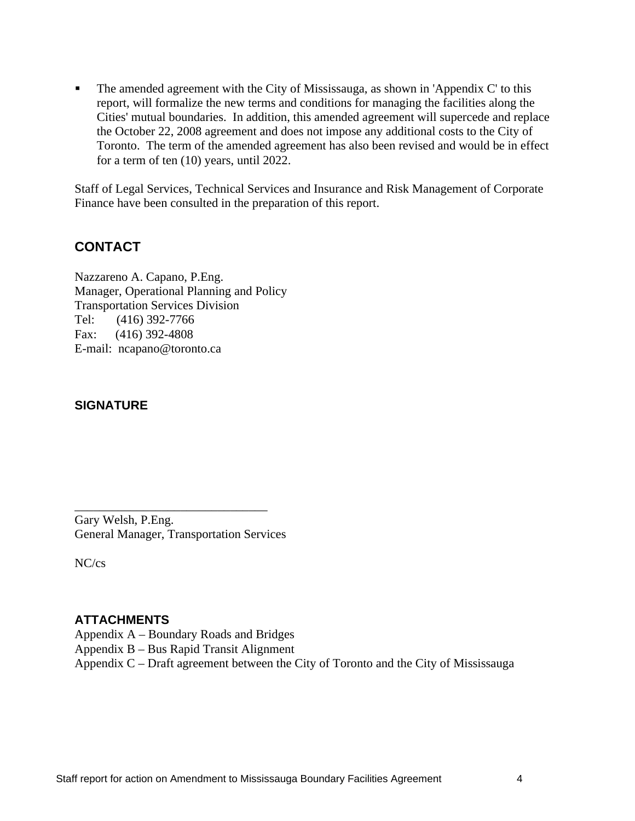$\blacksquare$ The amended agreement with the City of Mississauga, as shown in 'Appendix C' to this report, will formalize the new terms and conditions for managing the facilities along the Cities' mutual boundaries. In addition, this amended agreement will supercede and replace the October 22, 2008 agreement and does not impose any additional costs to the City of Toronto. The term of the amended agreement has also been revised and would be in effect for a term of ten (10) years, until 2022.

Staff of Legal Services, Technical Services and Insurance and Risk Management of Corporate Finance have been consulted in the preparation of this report.

#### **CONTACT**

Nazzareno A. Capano, P.Eng. Manager, Operational Planning and Policy Transportation Services Division Tel: (416) 392-7766 Fax: (416) 392-4808 E-mail: ncapano@toronto.ca

#### **SIGNATURE**

Gary Welsh, P.Eng. General Manager, Transportation Services

NC/cs

#### **ATTACHMENTS**

- Appendix A Boundary Roads and Bridges
- Appendix B Bus Rapid Transit Alignment
- Appendix C Draft agreement between the City of Toronto and the City of Mississauga

 $\overline{\phantom{a}}$  , we are assumed to the contract of the contract of the contract of the contract of the contract of the contract of the contract of the contract of the contract of the contract of the contract of the contract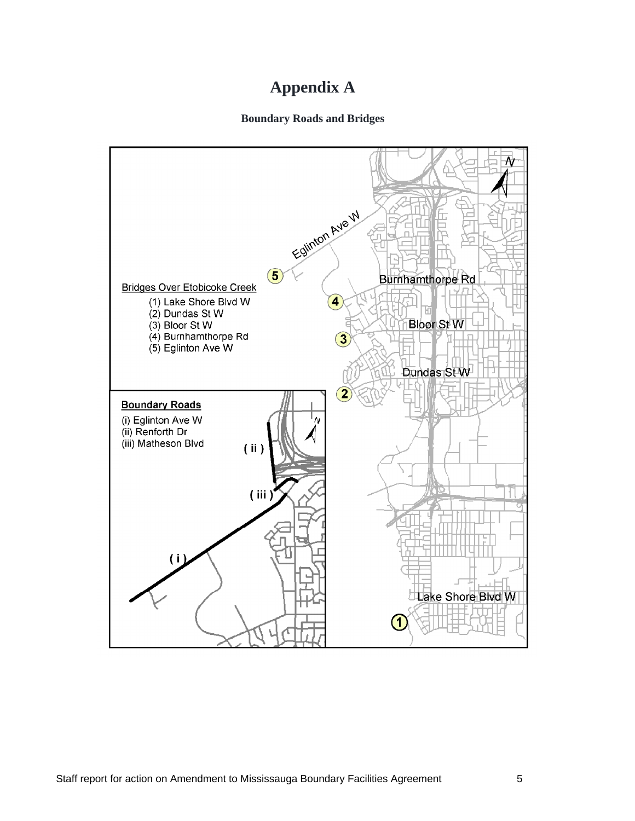# **Appendix A**

#### **Boundary Roads and Bridges**